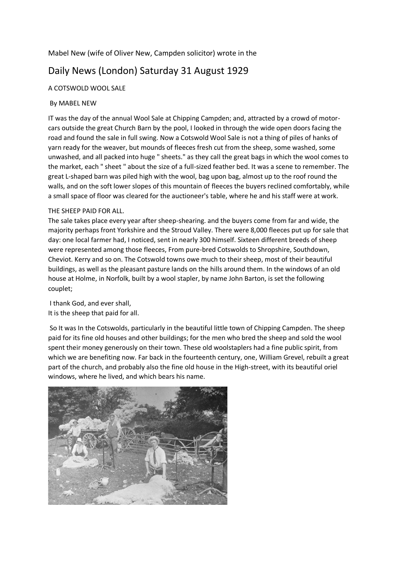## Mabel New (wife of Oliver New, Campden solicitor) wrote in the

# Daily News (London) Saturday 31 August 1929

## A COTSWOLD WOOL SALE

#### By MABEL NEW

IT was the day of the annual Wool Sale at Chipping Campden; and, attracted by a crowd of motorcars outside the great Church Barn by the pool, I looked in through the wide open doors facing the road and found the sale in full swing. Now a Cotswold Wool Sale is not a thing of piles of hanks of yarn ready for the weaver, but mounds of fleeces fresh cut from the sheep, some washed, some unwashed, and all packed into huge " sheets." as they call the great bags in which the wool comes to the market, each " sheet " about the size of a full-sized feather bed. It was a scene to remember. The great L-shaped barn was piled high with the wool, bag upon bag, almost up to the roof round the walls, and on the soft lower slopes of this mountain of fleeces the buyers reclined comfortably, while a small space of floor was cleared for the auctioneer's table, where he and his staff were at work.

#### THE SHEEP PAID FOR ALL.

The sale takes place every year after sheep-shearing. and the buyers come from far and wide, the majority perhaps front Yorkshire and the Stroud Valley. There were 8,000 fleeces put up for sale that day: one local farmer had, I noticed, sent in nearly 300 himself. Sixteen different breeds of sheep were represented among those fleeces, From pure-bred Cotswolds to Shropshire, Southdown, Cheviot. Kerry and so on. The Cotswold towns owe much to their sheep, most of their beautiful buildings, as well as the pleasant pasture lands on the hills around them. In the windows of an old house at Holme, in Norfolk, built by a wool stapler, by name John Barton, is set the following couplet;

I thank God, and ever shall, It is the sheep that paid for all.

So It was In the Cotswolds, particularly in the beautiful little town of Chipping Campden. The sheep paid for its fine old houses and other buildings; for the men who bred the sheep and sold the wool spent their money generously on their town. These old woolstaplers had a fine public spirit, from which we are benefiting now. Far back in the fourteenth century, one, William Grevel, rebuilt a great part of the church, and probably also the fine old house in the High-street, with its beautiful oriel windows, where he lived, and which bears his name.